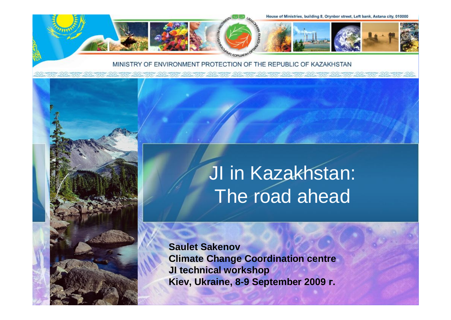

#### MINISTRY OF ENVIRONMENT PROTECTION OF THE REPUBLIC OF KAZAKHSTAN

<u>AD GU AD GU AD GU AD GU AD GU AD GU AD GU AD GU AD GU AD GU AD GU AD GU AD GU AD GU AD GU AD GU AD GU AD G</u>



**Saulet Sakenov Climate Change Coordination centre JI technical workshop Kiev, Ukraine, 8-9 September 2009 г.**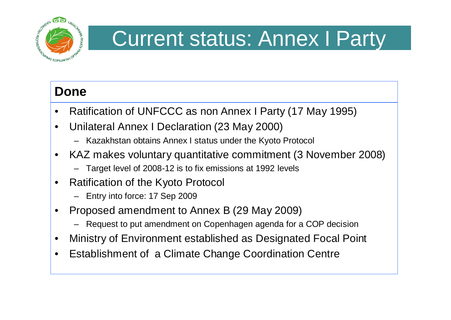

### Current status: Annex I Party

#### **Done**

- Ratification of UNFCCC as non Annex I Party (17 May 1995)
- Unilateral Annex I Declaration (23 May 2000)
	- Kazakhstan obtains Annex I status under the Kyoto Protocol
- KAZ makes voluntary quantitative commitment (3 November 2008)
	- Target level of 2008-12 is to fix emissions at 1992 levels
- Ratification of the Kyoto Protocol
	- Entry into force: 17 Sep 2009
- Proposed amendment to Annex B (29 May 2009)
	- Request to put amendment on Copenhagen agenda for a COP decision
- Ministry of Environment established as Designated Focal Point
- Establishment of a Climate Change Coordination Centre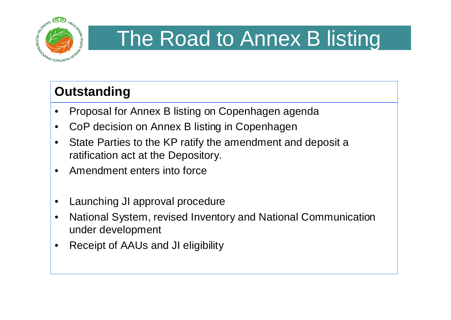

## The Road to Annex B listing

### **Outstanding**

- Proposal for Annex B listing on Copenhagen agenda
- CoP decision on Annex B listing in Copenhagen
- State Parties to the KP ratify the amendment and deposit a ratification act at the Depository.
- Amendment enters into force
- Launching JI approval procedure
- National System, revised Inventory and National Communication under development
- Receipt of AAUs and JI eligibility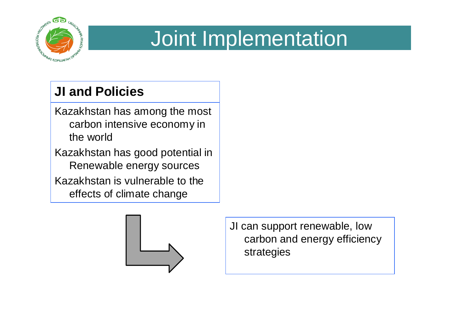

### Joint Implementation

### **JI and Policies**

- Kazakhstan has among the most carbon intensive economy in the world
- Kazakhstan has good potential in Renewable energy sources Kazakhstan is vulnerable to the
	- effects of climate change



JI can support renewable, low carbon and energy efficiency strategies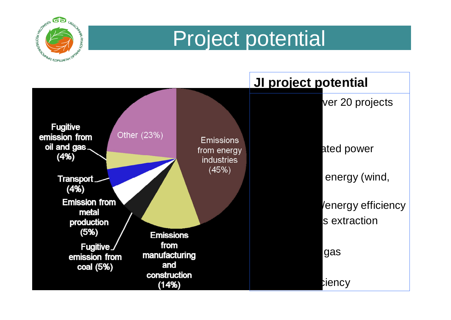

### Project potential

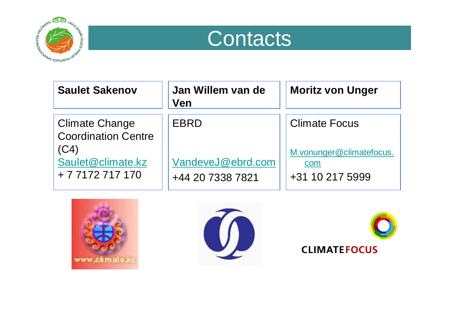



| <b>Saulet Sakenov</b>                                                                                | Jan Willem van de<br><b>Ven</b>               | <b>Moritz von Unger</b>                                                    |
|------------------------------------------------------------------------------------------------------|-----------------------------------------------|----------------------------------------------------------------------------|
| <b>Climate Change</b><br><b>Coordination Centre</b><br>(C4)<br>Saulet@climate.kz<br>+ 7 7172 717 170 | EBRD<br>VandeveJ@ebrd.com<br>+44 20 7338 7821 | <b>Climate Focus</b><br>M.vonunger@climatefocus.<br>com<br>+31 10 217 5999 |